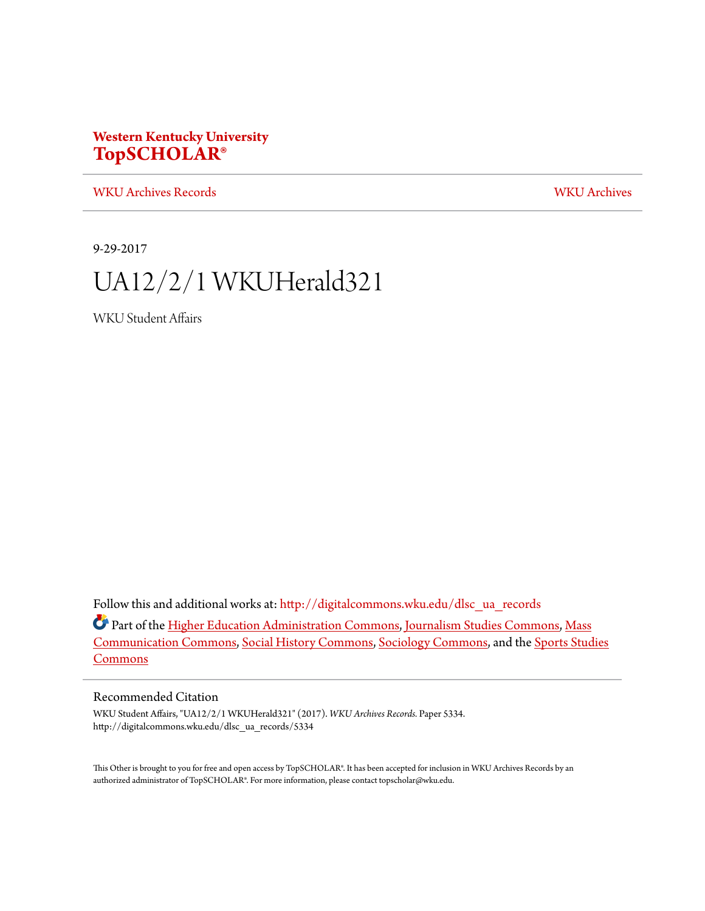#### **Western Kentucky University [TopSCHOLAR®](http://digitalcommons.wku.edu?utm_source=digitalcommons.wku.edu%2Fdlsc_ua_records%2F5334&utm_medium=PDF&utm_campaign=PDFCoverPages)**

[WKU Archives Records](http://digitalcommons.wku.edu/dlsc_ua_records?utm_source=digitalcommons.wku.edu%2Fdlsc_ua_records%2F5334&utm_medium=PDF&utm_campaign=PDFCoverPages) [WKU Archives](http://digitalcommons.wku.edu/dlsc_ua?utm_source=digitalcommons.wku.edu%2Fdlsc_ua_records%2F5334&utm_medium=PDF&utm_campaign=PDFCoverPages)

9-29-2017

### UA12/2/1 WKUHerald321

WKU Student Affairs

Follow this and additional works at: [http://digitalcommons.wku.edu/dlsc\\_ua\\_records](http://digitalcommons.wku.edu/dlsc_ua_records?utm_source=digitalcommons.wku.edu%2Fdlsc_ua_records%2F5334&utm_medium=PDF&utm_campaign=PDFCoverPages)

Part of the [Higher Education Administration Commons](http://network.bepress.com/hgg/discipline/791?utm_source=digitalcommons.wku.edu%2Fdlsc_ua_records%2F5334&utm_medium=PDF&utm_campaign=PDFCoverPages), [Journalism Studies Commons](http://network.bepress.com/hgg/discipline/333?utm_source=digitalcommons.wku.edu%2Fdlsc_ua_records%2F5334&utm_medium=PDF&utm_campaign=PDFCoverPages), [Mass](http://network.bepress.com/hgg/discipline/334?utm_source=digitalcommons.wku.edu%2Fdlsc_ua_records%2F5334&utm_medium=PDF&utm_campaign=PDFCoverPages) [Communication Commons,](http://network.bepress.com/hgg/discipline/334?utm_source=digitalcommons.wku.edu%2Fdlsc_ua_records%2F5334&utm_medium=PDF&utm_campaign=PDFCoverPages) [Social History Commons](http://network.bepress.com/hgg/discipline/506?utm_source=digitalcommons.wku.edu%2Fdlsc_ua_records%2F5334&utm_medium=PDF&utm_campaign=PDFCoverPages), [Sociology Commons,](http://network.bepress.com/hgg/discipline/416?utm_source=digitalcommons.wku.edu%2Fdlsc_ua_records%2F5334&utm_medium=PDF&utm_campaign=PDFCoverPages) and the [Sports Studies](http://network.bepress.com/hgg/discipline/1198?utm_source=digitalcommons.wku.edu%2Fdlsc_ua_records%2F5334&utm_medium=PDF&utm_campaign=PDFCoverPages) [Commons](http://network.bepress.com/hgg/discipline/1198?utm_source=digitalcommons.wku.edu%2Fdlsc_ua_records%2F5334&utm_medium=PDF&utm_campaign=PDFCoverPages)

#### Recommended Citation

WKU Student Affairs, "UA12/2/1 WKUHerald321" (2017). *WKU Archives Records.* Paper 5334. http://digitalcommons.wku.edu/dlsc\_ua\_records/5334

This Other is brought to you for free and open access by TopSCHOLAR®. It has been accepted for inclusion in WKU Archives Records by an authorized administrator of TopSCHOLAR®. For more information, please contact topscholar@wku.edu.